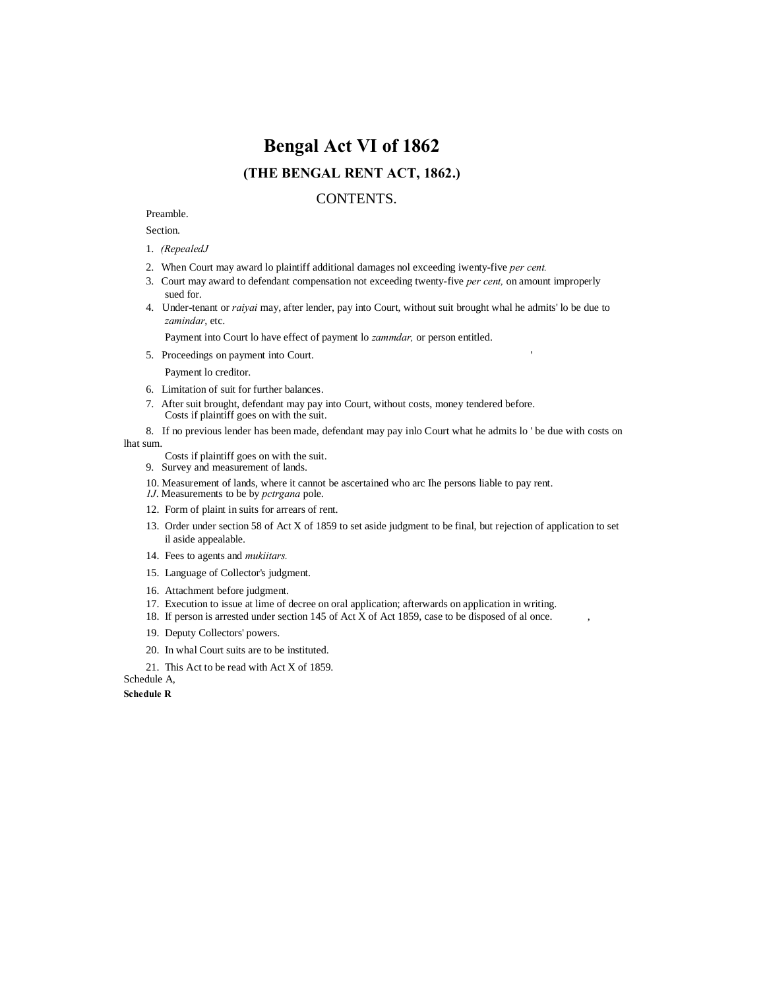# **Bengal Act VI of 1862**

# **(THE BENGAL RENT ACT, 1862.)**

# **CONTENTS**

# Preamble.

Section.

- 1. *(RepealedJ*
- 2. When Court may award lo plaintiff additional damages nol exceeding iwenty-five *per cent.*
- 3. Court may award to defendant compensation not exceeding twenty-five *per cent,* on amount improperly sued for.
- 4. Under-tenant or *raiyai* may, after lender, pay into Court, without suit brought whal he admits' lo be due to *zamindar*, etc.

Payment into Court lo have effect of payment lo *zammdar,* or person entitled.

5. Proceedings on payment into Court. '

Payment lo creditor.

- 6. Limitation of suit for further balances.
- 7. After suit brought, defendant may pay into Court, without costs, money tendered before.
- Costs if plaintiff goes on with the suit.
- 8. If no previous lender has been made, defendant may pay inlo Court what he admits lo ' be due with costs on

# lhat sum.

- Costs if plaintiff goes on with the suit.
- 9. Survey and measurement of lands.
- 10. Measurement of lands, where it cannot be ascertained who arc Ihe persons liable to pay rent.
- *1J*. Measurements to be by *pctrgana* pole.
- 12. Form of plaint in suits for arrears of rent.
- 13. Order under section 58 of Act X of 1859 to set aside judgment to be final, but rejection of application to set il aside appealable.
- 14. Fees to agents and *mukiitars.*
- 15. Language of Collector's judgment.
- 16. Attachment before judgment.
- 17. Execution to issue at lime of decree on oral application; afterwards on application in writing.
- 18. If person is arrested under section 145 of Act X of Act 1859, case to be disposed of al once. ,
- 19. Deputy Collectors' powers.
- 20. In whal Court suits are to be instituted.
- 21. This Act to be read with Act X of 1859.

Schedule A,

**Schedule R**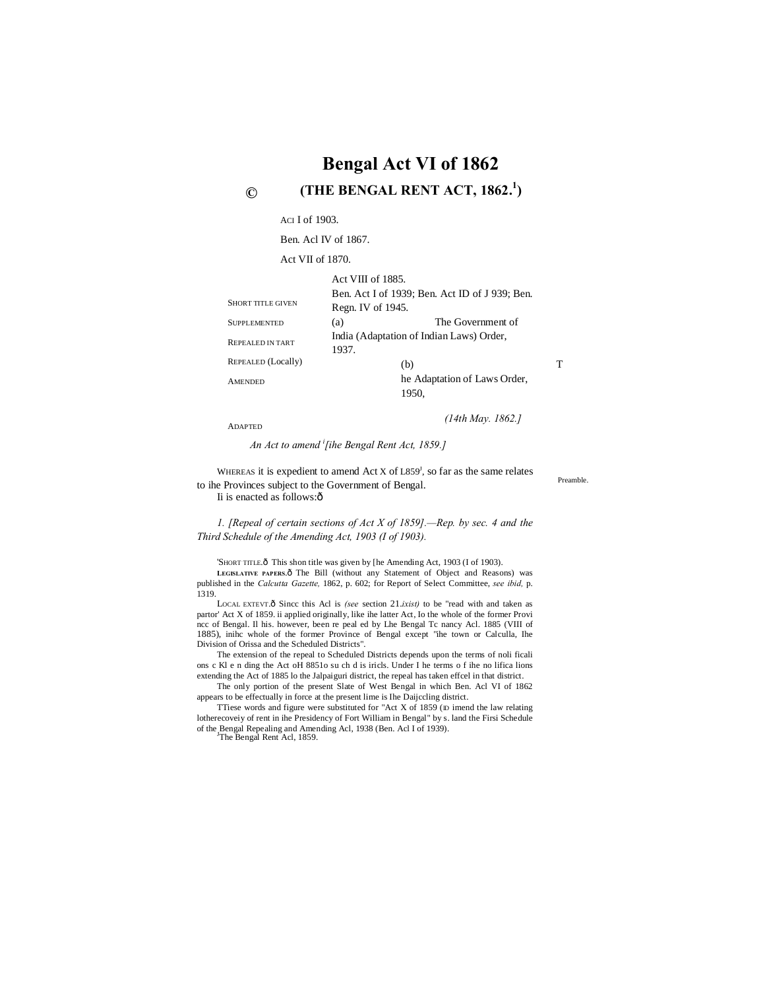#### **© (THE BENGAL RENT ACT, 1862.1 )**

ACI I of 1903.

Ben. Acl IV of 1867.

Act VII of 1870.

|                          | Act VIII of $1885$ .                              |                                                |   |
|--------------------------|---------------------------------------------------|------------------------------------------------|---|
| <b>SHORT TITLE GIVEN</b> | Regn. IV of 1945.                                 | Ben. Act I of 1939; Ben. Act ID of J 939; Ben. |   |
| <b>SUPPLEMENTED</b>      | (a)                                               | The Government of                              |   |
| <b>REPEALED IN TART</b>  | India (Adaptation of Indian Laws) Order,<br>1937. |                                                |   |
| REPEALED (Locally)       |                                                   | (b)                                            | т |
| <b>AMENDED</b>           |                                                   | he Adaptation of Laws Order,<br>1950.          |   |
|                          |                                                   |                                                |   |

ADAPTED

*(14th May. 1862.]*

Preamble.

*An Act to amend <sup>i</sup> [ihe Bengal Rent Act, 1859.]*

WHEREAS it is expedient to amend  $\text{Act } X$  of L859<sup>J</sup>, so far as the same relates to ihe Provinces subject to the Government of Bengal.

Ii is enacted as follows: $\hat{o}$ 

*1. [Repeal of certain sections of Act X of 1859].—Rep. by sec. 4 and the Third Schedule of the Amending Act, 1903 (I of 1903).*

'SHORT TITLE.Ô This shon title was given by [he Amending Act, 1903 (I of 1903). LEGISLATIVE PAPERS.<sub>O</sub> The Bill (without any Statement of Object and Reasons) was published in the *Calcutta Gazette,* 1862, p. 602; for Report of Select Committee, *see ibid,* p. 1319.

LOCAL EXTEVT.Ô Sincc this Acl is *(see* section 21.*ixist)* to be "read with and taken as partor' Act X of 1859. ii applied originally, like ihe latter Act, Io the whole of the former Provi ncc of Bengal. Il his. however, been re peal ed by Lhe Bengal Tc nancy Acl. 1885 (VIII of 1885), inihc whole of the former Province of Bengal except "ihe town or Calculla, Ihe Division of Orissa and the Scheduled Districts".

The extension of the repeal to Scheduled Districts depends upon the terms of noli ficali ons c Kl e n ding the Act oH 8851o su ch d is iricls. Under I he terms o f ihe no lifica lions extending the Act of 1885 lo the Jalpaiguri district, the repeal has taken effcel in that district.

The only portion of the present Slate of West Bengal in which Ben. Acl VI of 1862 appears to be effectually in force at the present lime is Ihe Daijccling district.

TTiese words and figure were substituted for "Act X of 1859 ( $D$  imend the law relating lotherecoveiy of rent in ihe Presidency of Fort William in Bengal" by s. land the Firsi Schedule of the Bengal Repealing and Amending Acl, 1938 (Ben. Acl I of 1939).

The Bengal Rent Acl, 1859.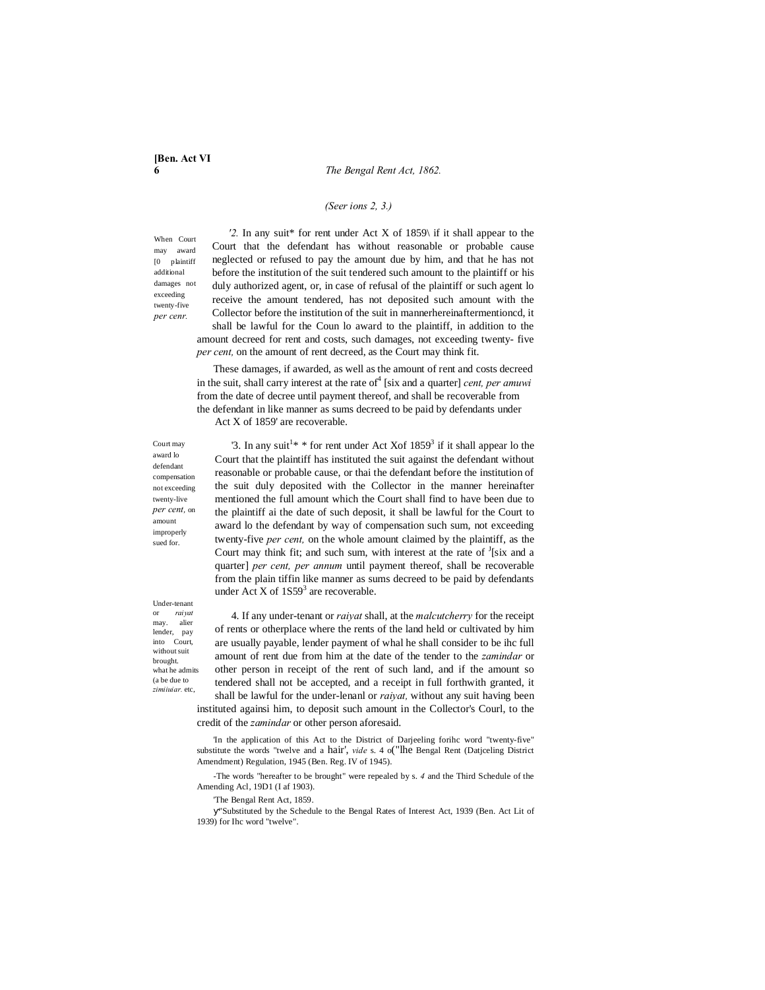**[Ben. Act VI**

#### **6** *The Bengal Rent Act, 1862.*

#### *(Seer ions 2, 3.)*

When Court may award [0 plaintiff additional damages not exceeding twenty-five *per cenr.*

*'2.* In any suit\* for rent under Act X of 1859\ if it shall appear to the Court that the defendant has without reasonable or probable cause neglected or refused to pay the amount due by him, and that he has not before the institution of the suit tendered such amount to the plaintiff or his duly authorized agent, or, in case of refusal of the plaintiff or such agent lo receive the amount tendered, has not deposited such amount with the Collector before the institution of the suit in mannerhereinaftermentioncd, it shall be lawful for the Coun lo award to the plaintiff, in addition to the amount decreed for rent and costs, such damages, not exceeding twenty- five *per cent,* on the amount of rent decreed, as the Court may think fit.

These damages, if awarded, as well as the amount of rent and costs decreed in the suit, shall carry interest at the rate of  $\left( \frac{1}{1} \right)$  [six and a quarter] *cent, per amuwi* from the date of decree until payment thereof, and shall be recoverable from the defendant in like manner as sums decreed to be paid by defendants under Act X of 1859' are recoverable.

Court may award lo defendant compensation not exceeding twenty-live *per cent,* on amount improperly sued for.

Under-tenant or *raiyat*  may. alier lender, pay into Court, without suit brought. what he admits (a be due to *zimiiuiar.* etc,

'3. In any suit<sup>1\*</sup> \* for rent under Act Xof  $1859<sup>3</sup>$  if it shall appear lo the Court that the plaintiff has instituted the suit against the defendant without reasonable or probable cause, or thai the defendant before the institution of the suit duly deposited with the Collector in the manner hereinafter mentioned the full amount which the Court shall find to have been due to the plaintiff ai the date of such deposit, it shall be lawful for the Court to award lo the defendant by way of compensation such sum, not exceeding twenty-five *per cent,* on the whole amount claimed by the plaintiff, as the Court may think fit; and such sum, with interest at the rate of  $\frac{1}{3}$ [six and a quarter] *per cent, per annum* until payment thereof, shall be recoverable from the plain tiffin like manner as sums decreed to be paid by defendants under Act X of  $1S59<sup>3</sup>$  are recoverable.

4. If any under-tenant or *raiyat* shall, at the *malcutcherry* for the receipt of rents or otherplace where the rents of the land held or cultivated by him are usually payable, lender payment of whal he shall consider to be ihc full amount of rent due from him at the date of the tender to the *zamindar* or other person in receipt of the rent of such land, and if the amount so tendered shall not be accepted, and a receipt in full forthwith granted, it shall be lawful for the under-lenanl or *raiyat,* without any suit having been instituted againsi him, to deposit such amount in the Collector's Courl, to the credit of the *zamindar* or other person aforesaid.

'In the application of this Act to the District of Darjeeling forihc word "twenty-five" substitute the words "twelve and a hair', *vide* s. 4 o("lhe Bengal Rent (Datjceling District Amendment) Regulation, 1945 (Ben. Reg. IV of 1945).

-The words "hereafter to be brought" were repealed by s. *4* and the Third Schedule of the Amending Acl, 19D1 (I af 1903).

'The Bengal Rent Act, 1859.

"Substituted by the Schedule to the Bengal Rates of Interest Act, 1939 (Ben. Act Lit of 1939) for Ihc word "twelve".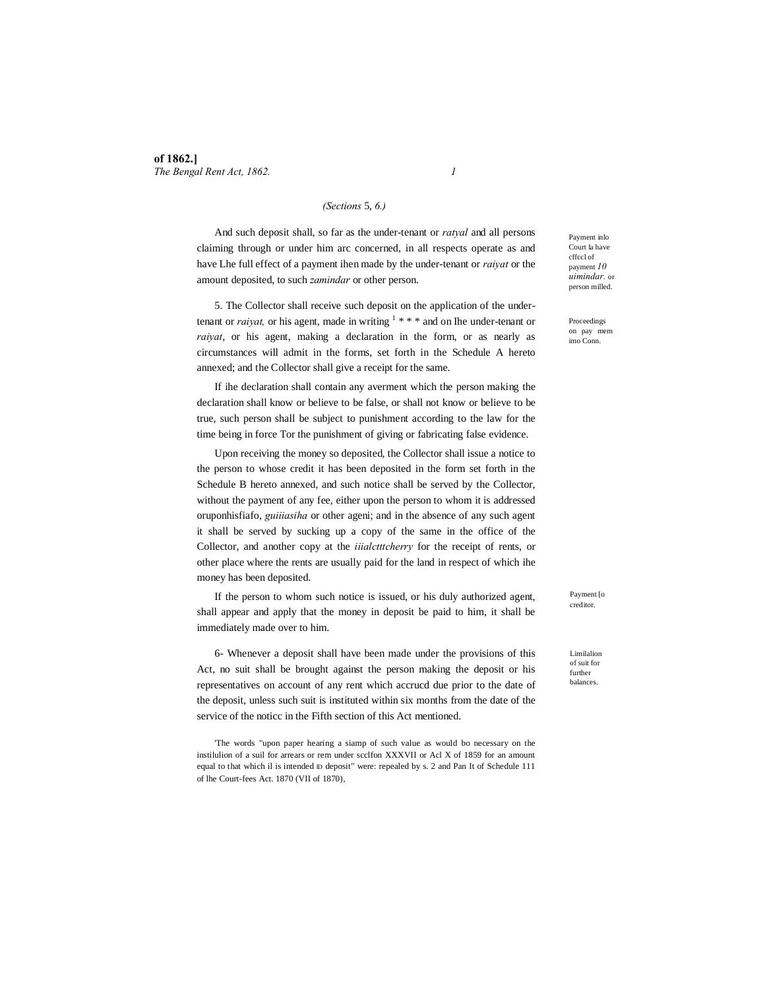# **of 1862.]** *The Bengal Rent Act, 1862. 1*

# *(Sections* 5, *6.)*

And such deposit shall, so far as the under-tenant or *ratyal* and all persons claiming through or under him arc concerned, in all respects operate as and have Lhe full effect of a payment ihen made by the under-tenant or *raiyat* or the amount deposited, to such *zamindar* or other person.

5. The Collector shall receive such deposit on the application of the undertenant or *raiyat*, or his agent, made in writing  $1$  \* \* \* and on Ihe under-tenant or *raiyat*, or his agent, making a declaration in the form, or as nearly as circumstances will admit in the forms, set forth in the Schedule A hereto annexed; and the Collector shall give a receipt for the same.

If ihe declaration shall contain any averment which the person making the declaration shall know or believe to be false, or shall not know or believe to be true, such person shall be subject to punishment according to the law for the time being in force Tor the punishment of giving or fabricating false evidence.

Upon receiving the money so deposited, the Collector shall issue a notice to the person to whose credit it has been deposited in the form set forth in the Schedule B hereto annexed, and such notice shall be served by the Collector, without the payment of any fee, either upon the person to whom it is addressed oruponhisfiafo, *guiiiasiha* or other ageni; and in the absence of any such agent it shall be served by sucking up a copy of the same in the office of the Collector, and another copy at the *iiialctttcherry* for the receipt of rents, or other place where the rents are usually paid for the land in respect of which ihe money has been deposited.

If the person to whom such notice is issued, or his duly authorized agent, shall appear and apply that the money in deposit be paid to him, it shall be immediately made over to him.

6- Whenever a deposit shall have been made under the provisions of this Act, no suit shall be brought against the person making the deposit or his representatives on account of any rent which accrucd due prior to the date of the deposit, unless such suit is instituted within six months from the date of the service of the noticc in the Fifth section of this Act mentioned.

'The words "upon paper hearing a siamp of such value as would bo necessary on the instilulion of a suil for arrears or rem under scclfon XXXVII or Acl X of 1859 for an amount equal to that which il is intended ID deposit" were: repealed by s. 2 and Pan It of Schedule 111 of lhe Court-fees Act. 1870 (VII of 1870),

Payment inlo Court la have cffccl of payment *10 uimindar.* or person milled.

Proceedings on pay mem imo Conn.

Payment [o creditor.

Limilalion of suit for further balances.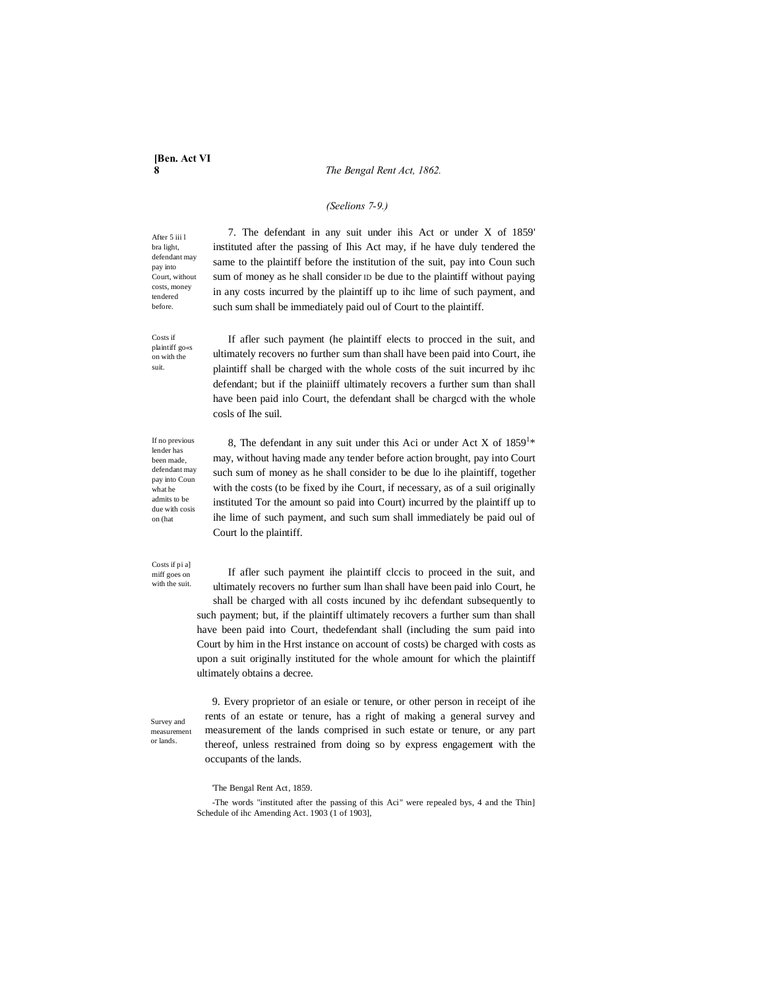**[Ben. Act VI**

#### **8** *The Bengal Rent Act, 1862.*

#### *(Seelions 7-9.)*

After 5 iii l bra light, defendant may pay into Court, without costs, money tendered before.

Costs if plaintiff go«s on with the suit.

7. The defendant in any suit under ihis Act or under X of 1859' instituted after the passing of Ihis Act may, if he have duly tendered the same to the plaintiff before the institution of the suit, pay into Coun such sum of money as he shall consider ID be due to the plaintiff without paying in any costs incurred by the plaintiff up to ihc lime of such payment, and such sum shall be immediately paid oul of Court to the plaintiff.

If afler such payment (he plaintiff elects to procced in the suit, and ultimately recovers no further sum than shall have been paid into Court, ihe plaintiff shall be charged with the whole costs of the suit incurred by ihc defendant; but if the plainiiff ultimately recovers a further sum than shall have been paid inlo Court, the defendant shall be chargcd with the whole cosls of Ihe suil.

8, The defendant in any suit under this Aci or under Act X of  $1859^{1*}$ may, without having made any tender before action brought, pay into Court such sum of money as he shall consider to be due lo ihe plaintiff, together with the costs (to be fixed by ihe Court, if necessary, as of a suil originally instituted Tor the amount so paid into Court) incurred by the plaintiff up to ihe lime of such payment, and such sum shall immediately be paid oul of Court lo the plaintiff.

If afler such payment ihe plaintiff clccis to proceed in the suit, and ultimately recovers no further sum lhan shall have been paid inlo Court, he shall be charged with all costs incuned by ihc defendant subsequently to such payment; but, if the plaintiff ultimately recovers a further sum than shall have been paid into Court, thedefendant shall (including the sum paid into Court by him in the Hrst instance on account of costs) be charged with costs as upon a suit originally instituted for the whole amount for which the plaintiff ultimately obtains a decree.

Survey and measurement or lands.

9. Every proprietor of an esiale or tenure, or other person in receipt of ihe rents of an estate or tenure, has a right of making a general survey and measurement of the lands comprised in such estate or tenure, or any part thereof, unless restrained from doing so by express engagement with the occupants of the lands.

-The words "instituted after the passing of this Aci" were repealed bys, 4 and the Thin] Schedule of ihc Amending Act. 1903 (1 of 1903],

If no previous lender has been made, defendant may pay into Coun what he admits to be due with cosis on (hat

Costs if pi a] miff goes on with the suit.

<sup>&#</sup>x27;The Bengal Rent Act, 1859.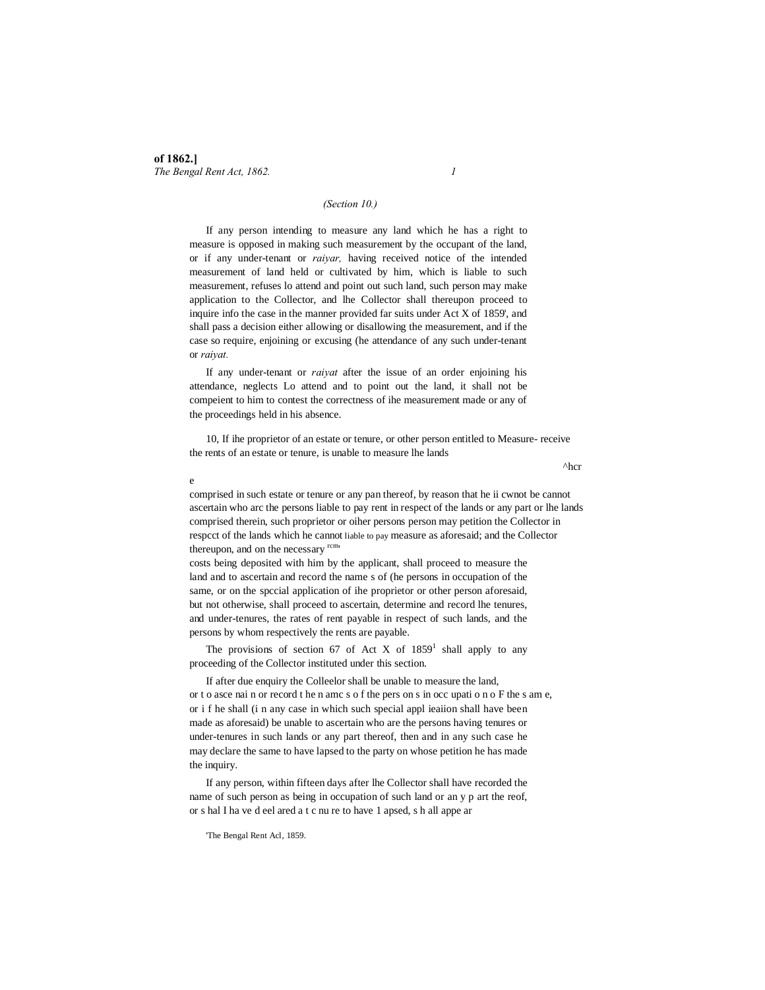# **of 1862.]** *The Bengal Rent Act, 1862. 1*

e

# *(Section 10.)*

If any person intending to measure any land which he has a right to measure is opposed in making such measurement by the occupant of the land, or if any under-tenant or *raiyar,* having received notice of the intended measurement of land held or cultivated by him, which is liable to such measurement, refuses lo attend and point out such land, such person may make application to the Collector, and lhe Collector shall thereupon proceed to inquire info the case in the manner provided far suits under Act X of 1859', and shall pass a decision either allowing or disallowing the measurement, and if the case so require, enjoining or excusing (he attendance of any such under-tenant or *raiyat.*

If any under-tenant or *raiyat* after the issue of an order enjoining his attendance, neglects Lo attend and to point out the land, it shall not be compeient to him to contest the correctness of ihe measurement made or any of the proceedings held in his absence.

10, If ihe proprietor of an estate or tenure, or other person entitled to Measure- receive the rents of an estate or tenure, is unable to measure lhe lands

^hcr

comprised in such estate or tenure or any pan thereof, by reason that he ii cwnot be cannot ascertain who arc the persons liable to pay rent in respect of the lands or any part or lhe lands comprised therein, such proprietor or oiher persons person may petition the Collector in respcct of the lands which he cannot liable to pay measure as aforesaid; and the Collector thereupon, and on the necessary rcm,

costs being deposited with him by the applicant, shall proceed to measure the land and to ascertain and record the name s of (he persons in occupation of the same, or on the spccial application of ihe proprietor or other person aforesaid, but not otherwise, shall proceed to ascertain, determine and record lhe tenures, and under-tenures, the rates of rent payable in respect of such lands, and the persons by whom respectively the rents are payable.

The provisions of section 67 of Act X of  $1859<sup>1</sup>$  shall apply to any proceeding of the Collector instituted under this section.

If after due enquiry the Colleelor shall be unable to measure the land, or t o asce nai n or record t he n amc s o f the pers on s in occ upati o n o F the s am e, or i f he shall (i n any case in which such special appl ieaiion shall have been made as aforesaid) be unable to ascertain who are the persons having tenures or under-tenures in such lands or any part thereof, then and in any such case he may declare the same to have lapsed to the party on whose petition he has made the inquiry.

If any person, within fifteen days after lhe Collector shall have recorded the name of such person as being in occupation of such land or an y p art the reof, or s hal I ha ve d eel ared a t c nu re to have 1 apsed, s h all appe ar

'The Bengal Rent Acl, 1859.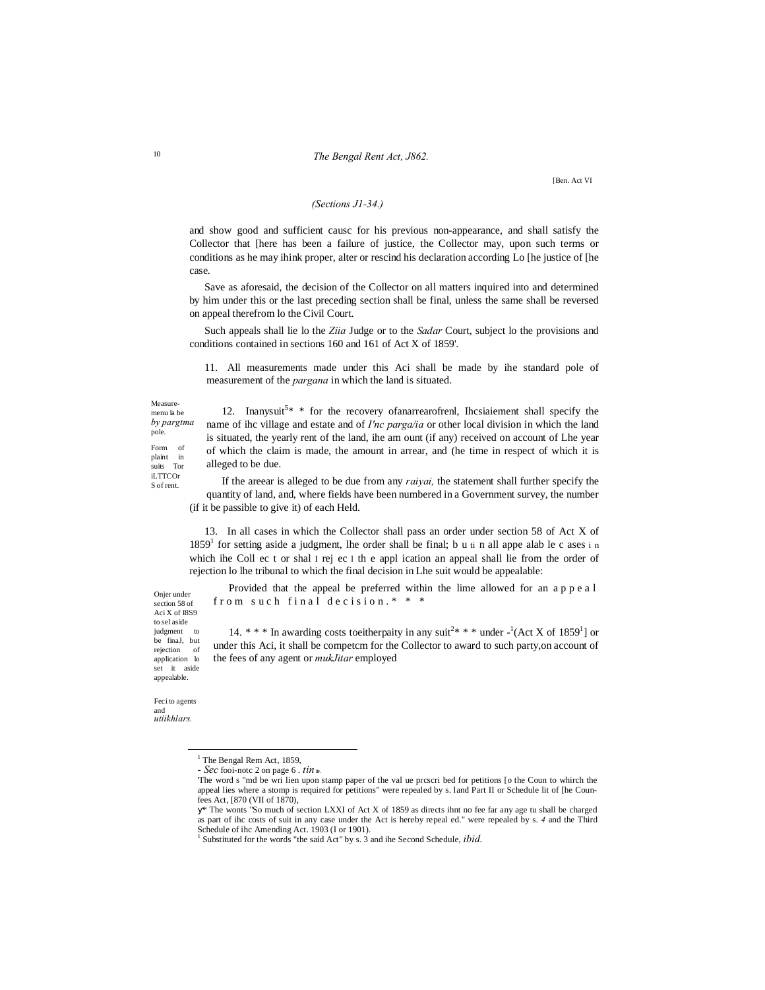[Ben. Act VI]

#### *(Sections J1-34.)*

and show good and sufficient causc for his previous non-appearance, and shall satisfy the Collector that [here has been a failure of justice, the Collector may, upon such terms or conditions as he may ihink proper, alter or rescind his declaration according Lo [he justice of [he case.

Save as aforesaid, the decision of the Collector on all matters inquired into and determined by him under this or the last preceding section shall be final, unless the same shall be reversed on appeal therefrom lo the Civil Court.

Such appeals shall lie lo the *Ziia* Judge or to the *Sadar* Court, subject lo the provisions and conditions contained in sections 160 and 161 of Act X of 1859'.

11. All measurements made under this Aci shall be made by ihe standard pole of measurement of the *pargana* in which the land is situated.

menu la be *by pargtma*  pole. Form of plaint in suits Tor iLTTCOr S of rent.

Measure-

12. Inanysuit<sup>5\*</sup> \* for the recovery ofanarrearofrenl, Ihcsiaiement shall specify the name of ihc village and estate and of *I'nc parga/ia* or other local division in which the land is situated, the yearly rent of the land, ihe am ount (if any) received on account of Lhe year of which the claim is made, the amount in arrear, and (he time in respect of which it is alleged to be due.

If the areear is alleged to be due from any *raiyai,* the statement shall further specify the quantity of land, and, where fields have been numbered in a Government survey, the number (if it be passible to give it) of each Held.

13. In all cases in which the Collector shall pass an order under section 58 of Act X of  $1859<sup>1</sup>$  for setting aside a judgment, lhe order shall be final; b u ti n all appe alab le c ases i n which ihe Coll ec t or shal I rej ec 1 th e appl ication an appeal shall lie from the order of rejection lo lhe tribunal to which the final decision in Lhe suit would be appealable:

Provided that the appeal be preferred within the lime allowed for an a p p e a l from such final decision. $* * *$ 

14. \* \* \* In awarding costs to itherpaity in any suit<sup>2\*</sup> \* \* under  $-$ <sup>1</sup>(Act X of 1859<sup>1</sup>) or under this Aci, it shall be competcm for the Collector to award to such party,on account of the fees of any agent or *mukJitar* employed

Feci to agents and<br>*utiikhlars*.

Onjer under section 58 of Aci X of I8S9 to sel aside judgment to be finaJ, but rejection of application lo set it aside appealable.

<sup>&</sup>lt;sup>1</sup> The Bengal Rem Act, 1859.

*<sup>-</sup> Sec* fooi-notc 2 on page 6 . *tin te.*

<sup>&#</sup>x27;The word s "md be wri lien upon stamp paper of the val ue prcscri bed for petitions [o the Coun to whirch the appeal lies where a stomp is required for petitions" were repealed by s. land Part II or Schedule lit of [he Counfees Act, [870 (VII of 1870),

<sup>\*</sup> The wonts "So much of section LXXI of Act X of 1859 as directs ihnt no fee far any age tu shall be charged as part of ihc costs of suit in any case under the Act is hereby repeal ed." were repealed by s. *4* and the Third Schedule of ihc Amending Act. 1903 (I or 1901).

<sup>1</sup> Substituted for the words "the said Act" by s. 3 and ihe Second Schedule, *ibid.*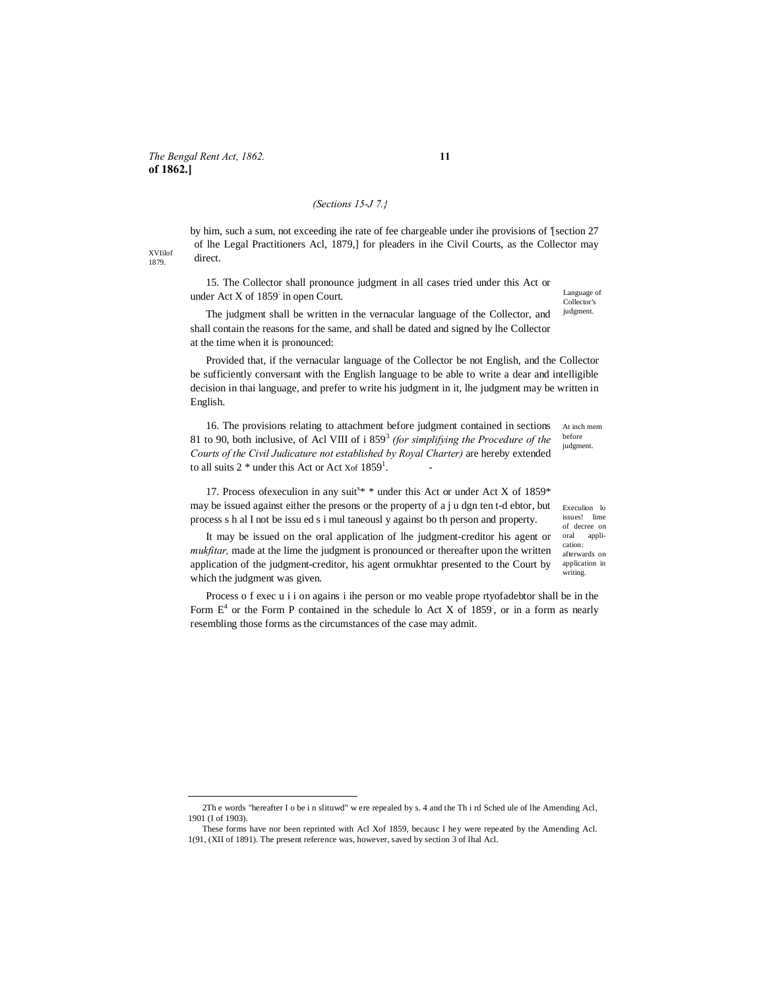# *(Sections 15-J 7.}*

by him, such a sum, not exceeding ihe rate of fee chargeable under ihe provisions of '[section 27] of lhe Legal Practitioners Acl, 1879,] for pleaders in ihe Civil Courts, as the Collector may direct.

15. The Collector shall pronounce judgment in all cases tried under this Act or under Act X of 1859<sup>:</sup> in open Court.

The judgment shall be written in the vernacular language of the Collector, and shall contain the reasons for the same, and shall be dated and signed by lhe Collector at the time when it is pronounced:

Provided that, if the vernacular language of the Collector be not English, and the Collector be sufficiently conversant with the English language to be able to write a dear and intelligible decision in thai language, and prefer to write his judgment in it, lhe judgment may be written in English.

At inch mem before judgment. 16. The provisions relating to attachment before judgment contained in sections 81 to 90, both inclusive, of Acl VIII of i 859<sup>3</sup> (for simplifying the Procedure of the *Courts of the Civil Judicature not established by Royal Charter)* are hereby extended to all suits  $2 *$  under this Act or Act Xof  $1859<sup>1</sup>$ . . -

17. Process of execution in any suit<sup>5\*</sup> \* under this Act or under Act X of 1859<sup>\*</sup> may be issued against either the presons or the property of a j u dgn ten t-d ebtor, but process s h al I not be issu ed s i mul taneousl y against bo th person and property.

oral application: afterwards on application in writing.

It may be issued on the oral application of lhe judgment-creditor his agent or *mukfitar,* made at the lime the judgment is pronounced or thereafter upon the written application of the judgment-creditor, his agent ormukhtar presented to the Court by which the judgment was given.

Process o f exec u i i on agains i ihe person or mo veable prope rtyofadebtor shall be in the Form  $E<sup>4</sup>$  or the Form P contained in the schedule lo Act X of 1859, or in a form as nearly resembling those forms as the circumstances of the case may admit.

 2Th e words "hereafter I o be i n slituwd" w ere repealed by s. 4 and the Th i rd Sched ule of lhe Amending Acl, 1901 (I of 1903).

XVIilof 1879.

> Execulion lo issues! lime of decree on

Language of Collector's judgment.

These forms have nor been reprinted with Acl Xof 1859, becausc I hey were repeated by the Amending Acl. 1(91, (XII of 1891). The present reference was, however, saved by section 3 of lhal Acl.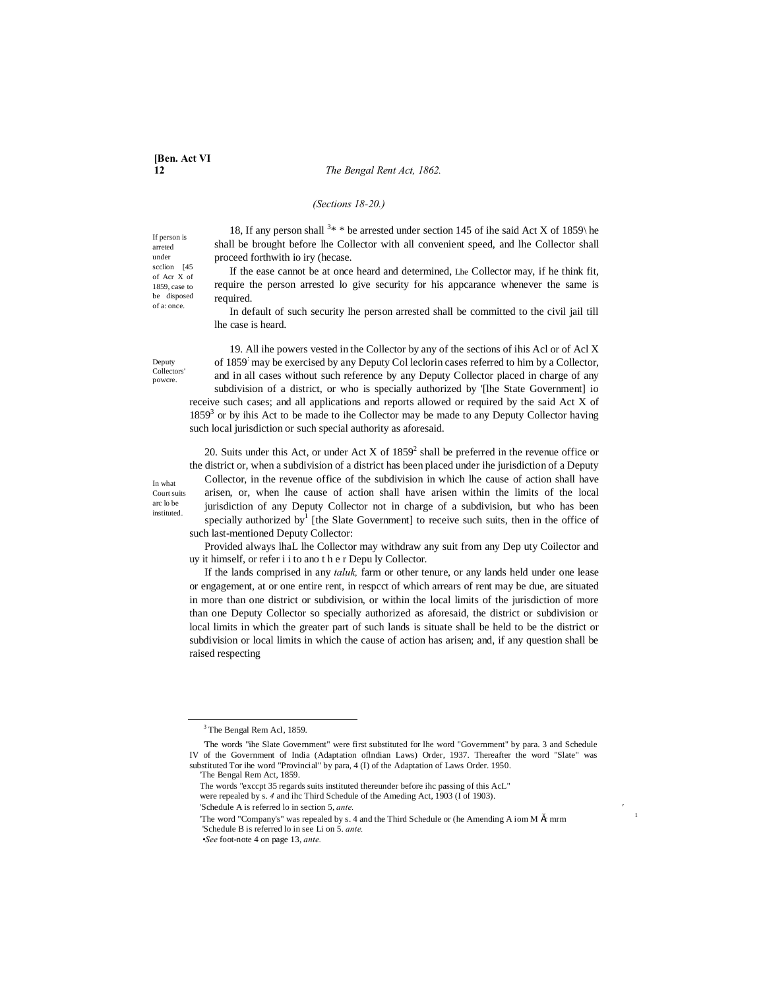**[Ben. Act VI**

#### **12** *The Bengal Rent Act, 1862.*

# *(Sections 18-20.)*

If person is arreted under scclion [45] of Acr X of 1859, case to be disposed of a: once.

18, If any person shall  $3* *$  be arrested under section 145 of ihe said Act X of 1859\ he shall be brought before lhe Collector with all convenient speed, and lhe Collector shall proceed forthwith io iry (hecase.

If the ease cannot be at once heard and determined, Lhe Collector may, if he think fit, require the person arrested lo give security for his appcarance whenever the same is required.

In default of such security lhe person arrested shall be committed to the civil jail till lhe case is heard.

Deputy Collectors' powcre.

19. All ihe powers vested in the Collector by any of the sections of ihis Acl or of Acl X of 1859: may be exercised by any Deputy Col leclorin cases referred to him by a Collector, and in all cases without such reference by any Deputy Collector placed in charge of any subdivision of a district, or who is specially authorized by '[lhe State Government] io receive such cases; and all applications and reports allowed or required by the said Act X of  $1859<sup>3</sup>$  or by ihis Act to be made to ihe Collector may be made to any Deputy Collector having such local jurisdiction or such special authority as aforesaid.

20. Suits under this Act, or under Act X of  $1859<sup>2</sup>$  shall be preferred in the revenue office or the district or, when a subdivision of a district has been placed under ihe jurisdiction of a Deputy Collector, in the revenue office of the subdivision in which lhe cause of action shall have

In what Court suits arc lo be instituted.

arisen, or, when lhe cause of action shall have arisen within the limits of the local jurisdiction of any Deputy Collector not in charge of a subdivision, but who has been specially authorized by<sup>1</sup> [the Slate Government] to receive such suits, then in the office of such last-mentioned Deputy Collector:

Provided always lhaL lhe Collector may withdraw any suit from any Dep uty Coilector and uy it himself, or refer i i to ano t h e r Depu ly Collector.

If the lands comprised in any *taluk,* farm or other tenure, or any lands held under one lease or engagement, at or one entire rent, in respcct of which arrears of rent may be due, are situated in more than one district or subdivision, or within the local limits of the jurisdiction of more than one Deputy Collector so specially authorized as aforesaid, the district or subdivision or local limits in which the greater part of such lands is situate shall be held to be the district or subdivision or local limits in which the cause of action has arisen; and, if any question shall be raised respecting

<sup>&</sup>lt;sup>3</sup> The Bengal Rem Acl, 1859.

<sup>&#</sup>x27;The words "ihe Slate Government" were first substituted for lhe word "Government" by para. 3 and Schedule IV of the Government of India (Adaptation oflndian Laws) Order, 1937. Thereafter the word "Slate" was substituted Tor ihe word "Provincial" by para, 4 (I) of the Adaptation of Laws Order. 1950.

<sup>&#</sup>x27;The Bengal Rem Act, 1859.

The words "exccpt 35 regards suits instituted thereunder before ihc passing of this AcL" were repealed by s. *4* and ihc Third Schedule of the Ameding Act, 1903 (I of 1903).

<sup>&#</sup>x27;Schedule A is referred lo in section 5, *ante. '*

<sup>&#</sup>x27;The word "Company's" was repealed by s. 4 and the Third Schedule or (he Amending A iom M šr mrm 'Schedule B is referred lo in see Li on 5. *ante.* 

*<sup>•</sup>See* foot-note 4 on page 13, *ante.*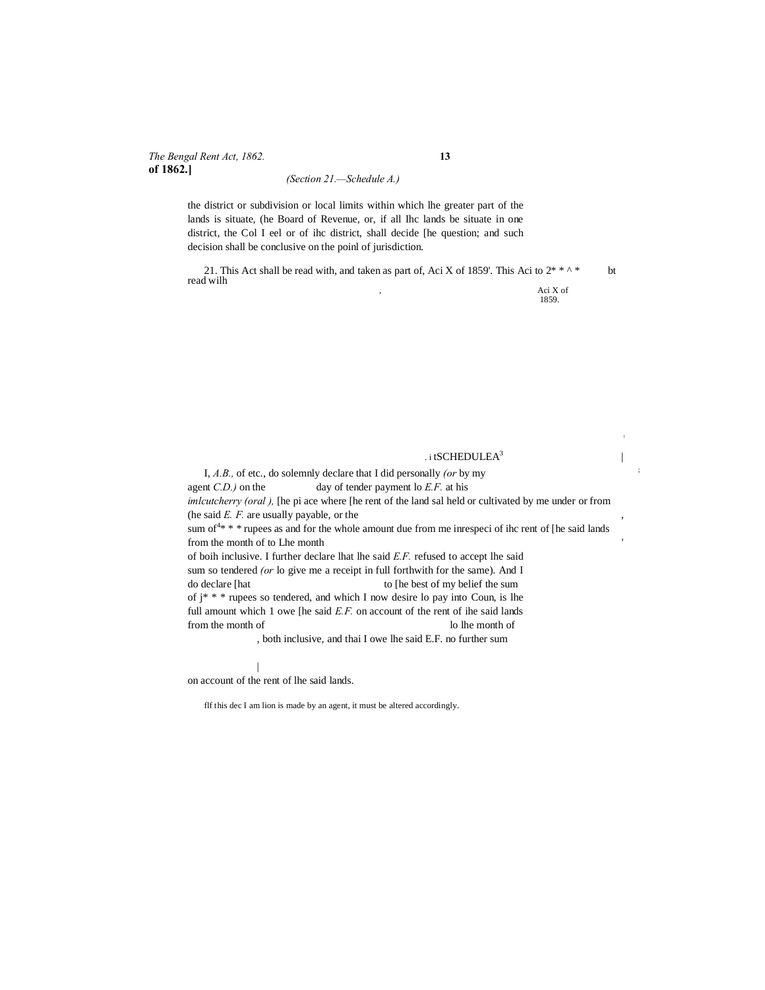# *The Bengal Rent Act, 1862.* **13 of 1862.]** *(Section 21.—Schedule A.)*

the district or subdivision or local limits within which lhe greater part of the lands is situate, (he Board of Revenue, or, if all Ihc lands be situate in one district, the Col I eel or of ihc district, shall decide [he question; and such decision shall be conclusive on the poinl of jurisdiction.

21. This Act shall be read with, and taken as part of, Aci X of 1859'. This Aci to  $2^* * \cdot *$  bt read wilh , Aci X of

1859.

.itSCHEDULEA<sup>3</sup>

I, *A.B.,* of etc., do solemnly declare that I did personally *(or* by my ;

agent *C.D.*) on the day of tender payment lo *E.F.* at his *imlcutcherry (oral ),* [he pi ace where [he rent of the land sal held or cultivated by me under or from (he said  $E$ .  $F$ . are usually payable, or the

sum of  $4* * *$  rupees as and for the whole amount due from me inrespeci of ihc rent of [he said lands from the month of to Lhe month '

of boih inclusive. I further declare lhat lhe said *E.F.* refused to accept lhe said sum so tendered *(or* lo give me a receipt in full forthwith for the same). And I do declare [hat to [he best of my belief the sum of j\* \* \* rupees so tendered, and which I now desire lo pay into Coun, is lhe full amount which 1 owe [he said *E.F.* on account of the rent of ihe said lands from the month of lo lhe month of

, both inclusive, and thai I owe lhe said E.F. no further sum

| on account of the rent of lhe said lands.

flf this dec I am lion is made by an agent, it must be altered accordingly.